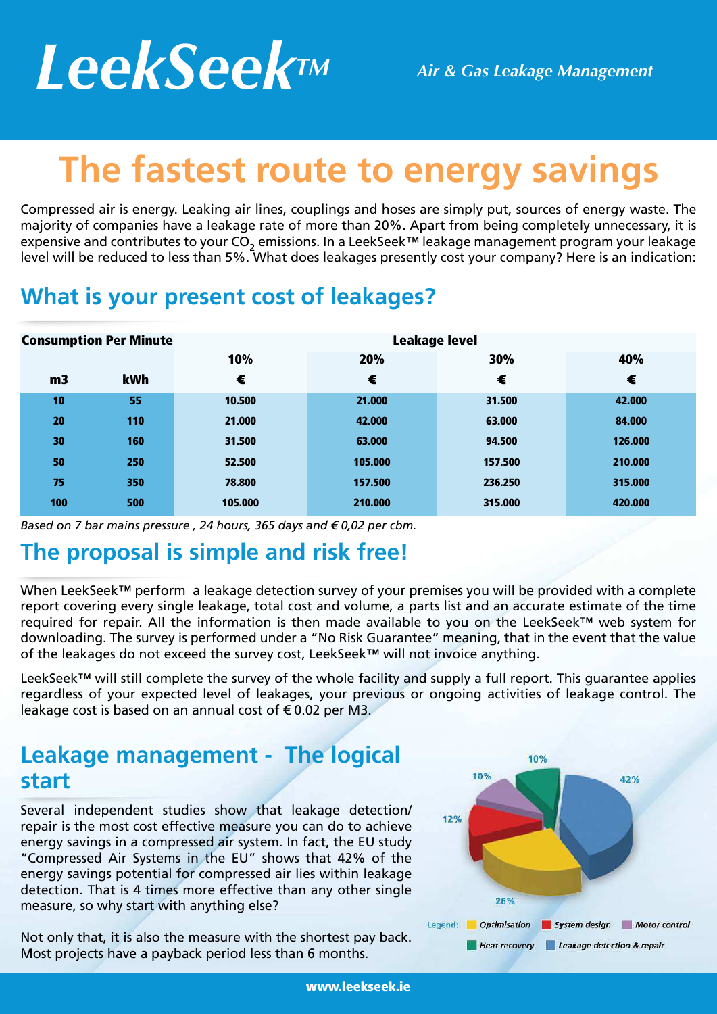# *LeekSeekTM Air & Gas Leakage Management*

## **The fastest route to energy savings**

Compressed air is energy. Leaking air lines, couplings and hoses are simply put, sources of energy waste. The majority of companies have a leakage rate of more than 20%. Apart from being completely unnecessary, it is expensive and contributes to your CO<sub>2</sub> emissions. In a LeekSeek™ leakage management program your leakage level will be reduced to less than 5%. What does leakages presently cost your company? Here is an indication:

#### **What is your present cost of leakages?**

| <b>Consumption Per Minute</b> |     | <b>Leakage level</b> |         |         |         |
|-------------------------------|-----|----------------------|---------|---------|---------|
|                               |     | 10%                  | 20%     | 30%     | 40%     |
| m <sub>3</sub>                | kWh | €                    | €       | €       | €       |
| 10                            | 55  | 10.500               | 21.000  | 31.500  | 42.000  |
| 20                            | 110 | 21.000               | 42.000  | 63.000  | 84,000  |
| 30                            | 160 | 31.500               | 63,000  | 94.500  | 126.000 |
| 50                            | 250 | 52.500               | 105.000 | 157.500 | 210.000 |
| 75                            | 350 | 78,800               | 157.500 | 236.250 | 315.000 |
| 100                           | 500 | 105.000              | 210.000 | 315.000 | 420.000 |

*Based on 7 bar mains pressure , 24 hours, 365 days and € 0,02 per cbm.*

#### **The proposal is simple and risk free!**

When LeekSeek™ perform a leakage detection survey of your premises you will be provided with a complete report covering every single leakage, total cost and volume, a parts list and an accurate estimate of the time required for repair. All the information is then made available to you on the LeekSeek™ web system for downloading. The survey is performed under a "No Risk Guarantee" meaning, that in the event that the value of the leakages do not exceed the survey cost, LeekSeek™ will not invoice anything.

LeekSeek™ will still complete the survey of the whole facility and supply a full report. This guarantee applies regardless of your expected level of leakages, your previous or ongoing activities of leakage control. The leakage cost is based on an annual cost of  $\epsilon$  0.02 per M3.

#### **Leakage management - The logical start**

Several independent studies show that leakage detection/ repair is the most cost effective measure you can do to achieve energy savings in a compressed air system. In fact, the EU study "Compressed Air Systems in the EU" shows that 42% of the energy savings potential for compressed air lies within leakage detection. That is 4 times more effective than any other single measure, so why start with anything else?

Not only that, it is also the measure with the shortest pay back. Most projects have a payback period less than 6 months.